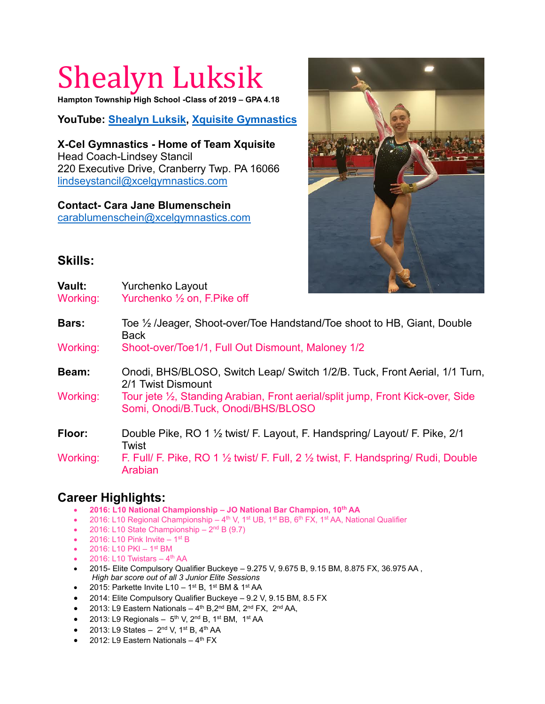## Shealyn Luksik

**Hampton Township High School -Class of 2019 – GPA 4.18**

**YouTube: [Shealyn Luksik,](https://www.youtube.com/channel/UCFsOIfbNdrxngclbfNt5_Cg) [Xquisite Gymnastics](https://www.youtube.com/watch?v=uxRn9la_Fr0&list=PLcKLT2FWJ2dnxzCyLzpyAe1N_e8i0u6o4)**

**X-Cel Gymnastics - Home of Team Xquisite** Head Coach-Lindsey Stancil 220 Executive Drive, Cranberry Twp. PA 16066 [lindseystancil@xcelgymnastics.com](mailto:lindseystancil@xcelgymnastics.com)

## **Contact- Cara Jane Blumenschein**

[carablumenschein@xcelgymnastics.com](mailto:carablumenschein@xcelgymnastics.com)



## **Skills:**

**Vault:** Yurchenko Layout Working: Yurchenko 1/2 on, F. Pike off **Bars:** Toe ½ /Jeager, Shoot-over/Toe Handstand/Toe shoot to HB, Giant, Double Back Working: Shoot-over/Toe1/1, Full Out Dismount, Maloney 1/2 **Beam:** Onodi, BHS/BLOSO, Switch Leap/ Switch 1/2/B. Tuck, Front Aerial, 1/1 Turn, 2/1 Twist Dismount Working: Tour jete ½, Standing Arabian, Front aerial/split jump, Front Kick-over, Side Somi, Onodi/B.Tuck, Onodi/BHS/BLOSO **Floor:** Double Pike, RO 1 ½ twist/ F. Layout, F. Handspring/ Layout/ F. Pike, 2/1 Twist Working: F. Full/ F. Pike, RO 1 1/2 twist/ F. Full, 2 1/2 twist, F. Handspring/ Rudi, Double Arabian

## **Career Highlights:**

- **2016: L10 National Championship – JO National Bar Champion, 10th AA**
- 2016: L10 Regional Championship  $-$  4<sup>th</sup> V, 1<sup>st</sup> UB, 1<sup>st</sup> BB, 6<sup>th</sup> FX, 1<sup>st</sup> AA, National Qualifier
- 2016: L10 State Championship  $-2<sup>nd</sup> B$  (9.7)
- $\bullet$  2016: L10 Pink Invite 1<sup>st</sup> B
- $2016$ : L10 PKI 1<sup>st</sup> BM
- $\bullet$  2016: L10 Twistars  $-4^{\text{th}}$  AA
- 2015- Elite Compulsory Qualifier Buckeye 9.275 V, 9.675 B, 9.15 BM, 8.875 FX, 36.975 AA , *High bar score out of all 3 Junior Elite Sessions*
- $\bullet$  2015: Parkette Invite L10 1<sup>st</sup> B, 1<sup>st</sup> BM & 1<sup>st</sup> AA
- 2014: Elite Compulsory Qualifier Buckeye 9.2 V, 9.15 BM, 8.5 FX
- $\bullet$  2013: L9 Eastern Nationals  $-4^{\text{th}}$  B,  $2^{\text{nd}}$  BM,  $2^{\text{nd}}$  FX,  $2^{\text{nd}}$  AA,
- $\bullet$  2013: L9 Regionals 5<sup>th</sup> V, 2<sup>nd</sup> B, 1<sup>st</sup> BM, 1<sup>st</sup> AA
- 2013: L9 States  $-$  2<sup>nd</sup> V, 1<sup>st</sup> B, 4<sup>th</sup> AA
- $\bullet$  2012: L9 Eastern Nationals 4<sup>th</sup> FX